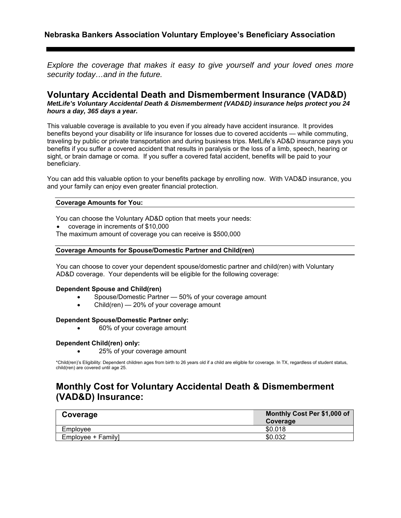*Explore the coverage that makes it easy to give yourself and your loved ones more security today…and in the future.* 

### **Voluntary Accidental Death and Dismemberment Insurance (VAD&D)**  *MetLife's Voluntary Accidental Death & Dismemberment (VAD&D) insurance helps protect you 24 hours a day, 365 days a year.*

This valuable coverage is available to you even if you already have accident insurance. It provides benefits beyond your disability or life insurance for losses due to covered accidents — while commuting, traveling by public or private transportation and during business trips. MetLife's AD&D insurance pays you benefits if you suffer a covered accident that results in paralysis or the loss of a limb, speech, hearing or sight, or brain damage or coma. If you suffer a covered fatal accident, benefits will be paid to your beneficiary.

You can add this valuable option to your benefits package by enrolling now. With VAD&D insurance, you and your family can enjoy even greater financial protection.

#### **Coverage Amounts for You:**

You can choose the Voluntary AD&D option that meets your needs:

- coverage in increments of \$10,000
- The maximum amount of coverage you can receive is \$500,000

#### **Coverage Amounts for Spouse/Domestic Partner and Child(ren)**

You can choose to cover your dependent spouse/domestic partner and child(ren) with Voluntary AD&D coverage. Your dependents will be eligible for the following coverage:

#### **Dependent Spouse and Child(ren)**

- Spouse/Domestic Partner 50% of your coverage amount
- Child(ren) 20% of your coverage amount

#### **Dependent Spouse/Domestic Partner only:**

60% of your coverage amount

#### **Dependent Child(ren) only:**

25% of your coverage amount

\*Child(ren)'s Eligibility: Dependent children ages from birth to 26 years old if a child are eligible for coverage. In TX, regardless of student status, child(ren) are covered until age 25.

## **Monthly Cost for Voluntary Accidental Death & Dismemberment (VAD&D) Insurance:**

| Coverage           | Monthly Cost Per \$1,000 of |
|--------------------|-----------------------------|
|                    | Coverage                    |
| Employee           | \$0.018                     |
| Employee + Family] | \$0.032                     |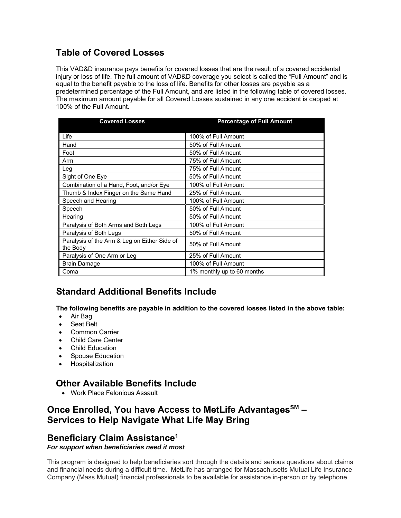# **Table of Covered Losses**

This VAD&D insurance pays benefits for covered losses that are the result of a covered accidental injury or loss of life. The full amount of VAD&D coverage you select is called the "Full Amount" and is equal to the benefit payable to the loss of life. Benefits for other losses are payable as a predetermined percentage of the Full Amount, and are listed in the following table of covered losses. The maximum amount payable for all Covered Losses sustained in any one accident is capped at 100% of the Full Amount.

| <b>Covered Losses</b>                                    | <b>Percentage of Full Amount</b> |
|----------------------------------------------------------|----------------------------------|
|                                                          |                                  |
| Life                                                     | 100% of Full Amount              |
| Hand                                                     | 50% of Full Amount               |
| Foot                                                     | 50% of Full Amount               |
| Arm                                                      | 75% of Full Amount               |
| Leg                                                      | 75% of Full Amount               |
| Sight of One Eye                                         | 50% of Full Amount               |
| Combination of a Hand, Foot, and/or Eye                  | 100% of Full Amount              |
| Thumb & Index Finger on the Same Hand                    | 25% of Full Amount               |
| Speech and Hearing                                       | 100% of Full Amount              |
| Speech                                                   | 50% of Full Amount               |
| Hearing                                                  | 50% of Full Amount               |
| Paralysis of Both Arms and Both Legs                     | 100% of Full Amount              |
| Paralysis of Both Legs                                   | 50% of Full Amount               |
| Paralysis of the Arm & Leg on Either Side of<br>the Body | 50% of Full Amount               |
| Paralysis of One Arm or Leg                              | 25% of Full Amount               |
| <b>Brain Damage</b>                                      | 100% of Full Amount              |
| Coma                                                     | 1% monthly up to 60 months       |

## **Standard Additional Benefits Include**

**The following benefits are payable in addition to the covered losses listed in the above table:** 

- Air Bag
- Seat Belt
- Common Carrier
- Child Care Center
- Child Education
- Spouse Education
- **•** Hospitalization

## **Other Available Benefits Include**

Work Place Felonious Assault

## Once Enrolled, You have Access to MetLife Advantages<sup>SM</sup> -**Services to Help Navigate What Life May Bring**

## **Beneficiary Claim Assistance1**

*For support when beneficiaries need it most* 

This program is designed to help beneficiaries sort through the details and serious questions about claims and financial needs during a difficult time. MetLife has arranged for Massachusetts Mutual Life Insurance Company (Mass Mutual) financial professionals to be available for assistance in-person or by telephone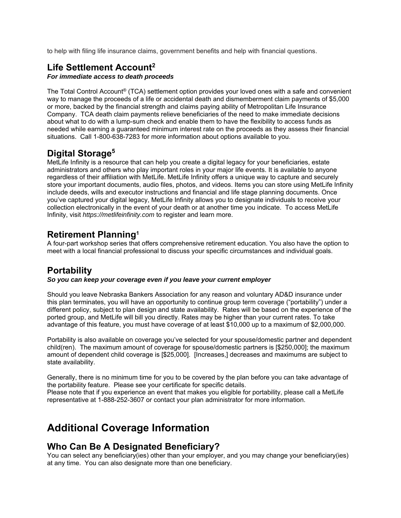to help with filing life insurance claims, government benefits and help with financial questions.

# **Life Settlement Account2**

### *For immediate access to death proceeds*

The Total Control Account® (TCA) settlement option provides your loved ones with a safe and convenient way to manage the proceeds of a life or accidental death and dismemberment claim payments of \$5,000 or more, backed by the financial strength and claims paying ability of Metropolitan Life Insurance Company. TCA death claim payments relieve beneficiaries of the need to make immediate decisions about what to do with a lump-sum check and enable them to have the flexibility to access funds as needed while earning a guaranteed minimum interest rate on the proceeds as they assess their financial situations. Call 1-800-638-7283 for more information about options available to you.

# **Digital Storage5**

MetLife Infinity is a resource that can help you create a digital legacy for your beneficiaries, estate administrators and others who play important roles in your major life events. It is available to anyone regardless of their affiliation with MetLife. MetLife Infinity offers a unique way to capture and securely store your important documents, audio files, photos, and videos. Items you can store using MetLife Infinity include deeds, wills and executor instructions and financial and life stage planning documents. Once you've captured your digital legacy, MetLife Infinity allows you to designate individuals to receive your collection electronically in the event of your death or at another time you indicate. To access MetLife Infinity, visit *https://metlifeinfinity.com* to register and learn more.

## **Retirement Planning1**

A four-part workshop series that offers comprehensive retirement education. You also have the option to meet with a local financial professional to discuss your specific circumstances and individual goals.

## **Portability**

### *So you can keep your coverage even if you leave your current employer*

Should you leave Nebraska Bankers Association for any reason and voluntary AD&D insurance under this plan terminates, you will have an opportunity to continue group term coverage ("portability") under a different policy, subject to plan design and state availability. Rates will be based on the experience of the ported group, and MetLife will bill you directly. Rates may be higher than your current rates. To take advantage of this feature, you must have coverage of at least \$10,000 up to a maximum of \$2,000,000.

Portability is also available on coverage you've selected for your spouse/domestic partner and dependent child(ren). The maximum amount of coverage for spouse/domestic partners is [\$250,000]; the maximum amount of dependent child coverage is [\$25,000]. [Increases,] decreases and maximums are subject to state availability.

Generally, there is no minimum time for you to be covered by the plan before you can take advantage of the portability feature. Please see your certificate for specific details.

Please note that if you experience an event that makes you eligible for portability, please call a MetLife representative at 1-888-252-3607 or contact your plan administrator for more information.

# **Additional Coverage Information**

## **Who Can Be A Designated Beneficiary?**

You can select any beneficiary(ies) other than your employer, and you may change your beneficiary(ies) at any time. You can also designate more than one beneficiary.